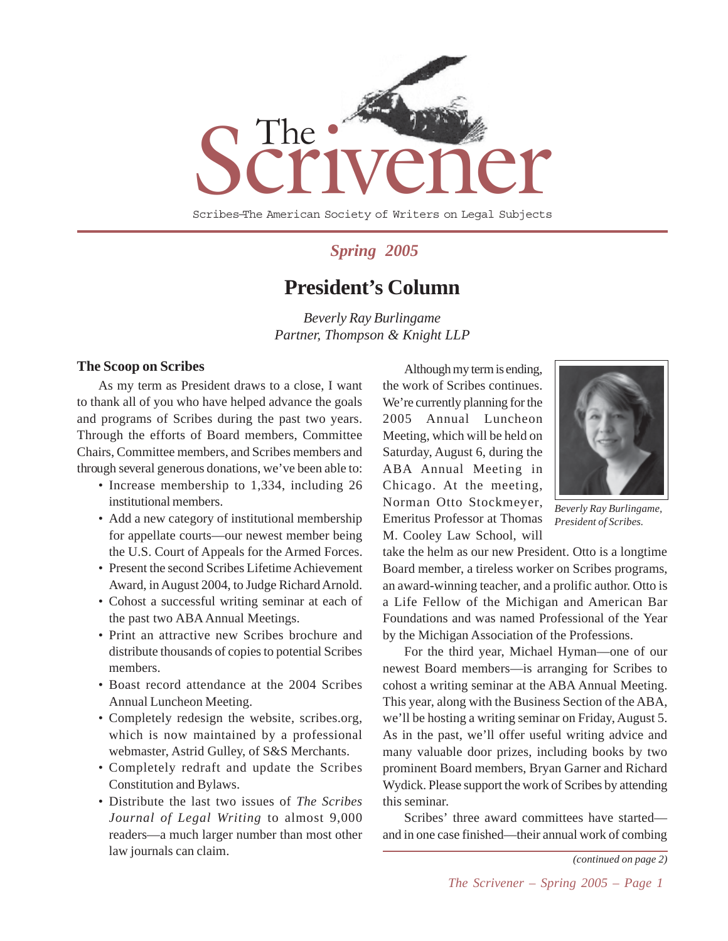

Scribes—The American Society of Writers on Legal Subjects

### *Spring 2005*

### **President's Column**

*Beverly Ray Burlingame Partner, Thompson & Knight LLP*

#### **The Scoop on Scribes**

As my term as President draws to a close, I want to thank all of you who have helped advance the goals and programs of Scribes during the past two years. Through the efforts of Board members, Committee Chairs, Committee members, and Scribes members and through several generous donations, we've been able to:

- Increase membership to 1,334, including 26 institutional members.
- Add a new category of institutional membership for appellate courts—our newest member being the U.S. Court of Appeals for the Armed Forces.
- Present the second Scribes Lifetime Achievement Award, in August 2004, to Judge Richard Arnold.
- Cohost a successful writing seminar at each of the past two ABA Annual Meetings.
- Print an attractive new Scribes brochure and distribute thousands of copies to potential Scribes members.
- Boast record attendance at the 2004 Scribes Annual Luncheon Meeting.
- Completely redesign the website, scribes.org, which is now maintained by a professional webmaster, Astrid Gulley, of S&S Merchants.
- Completely redraft and update the Scribes Constitution and Bylaws.
- Distribute the last two issues of *The Scribes Journal of Legal Writing* to almost 9,000 readers—a much larger number than most other law journals can claim.

Although my term is ending, the work of Scribes continues. We're currently planning for the 2005 Annual Luncheon Meeting, which will be held on Saturday, August 6, during the ABA Annual Meeting in Chicago. At the meeting, Norman Otto Stockmeyer, Emeritus Professor at Thomas M. Cooley Law School, will



*Beverly Ray Burlingame, President of Scribes.*

take the helm as our new President. Otto is a longtime Board member, a tireless worker on Scribes programs, an award-winning teacher, and a prolific author. Otto is a Life Fellow of the Michigan and American Bar Foundations and was named Professional of the Year by the Michigan Association of the Professions.

For the third year, Michael Hyman—one of our newest Board members—is arranging for Scribes to cohost a writing seminar at the ABA Annual Meeting. This year, along with the Business Section of the ABA, we'll be hosting a writing seminar on Friday, August 5. As in the past, we'll offer useful writing advice and many valuable door prizes, including books by two prominent Board members, Bryan Garner and Richard Wydick. Please support the work of Scribes by attending this seminar.

Scribes' three award committees have started and in one case finished—their annual work of combing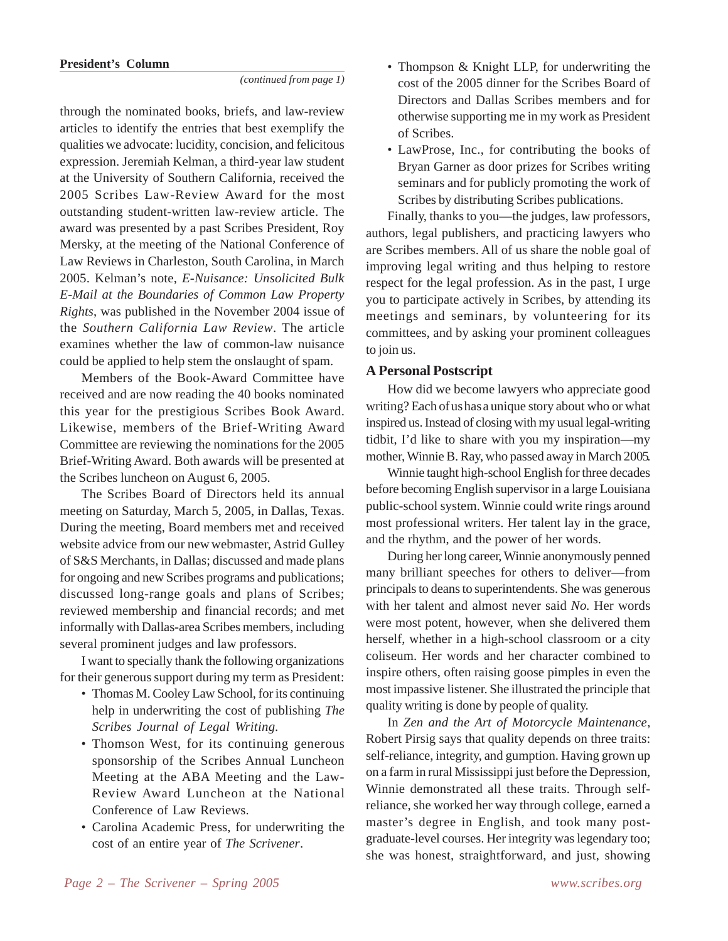through the nominated books, briefs, and law-review articles to identify the entries that best exemplify the qualities we advocate: lucidity, concision, and felicitous expression. Jeremiah Kelman, a third-year law student at the University of Southern California, received the 2005 Scribes Law-Review Award for the most outstanding student-written law-review article. The award was presented by a past Scribes President, Roy Mersky, at the meeting of the National Conference of Law Reviews in Charleston, South Carolina, in March 2005. Kelman's note, *E-Nuisance: Unsolicited Bulk E-Mail at the Boundaries of Common Law Property Rights*, was published in the November 2004 issue of the *Southern California Law Review*. The article examines whether the law of common-law nuisance could be applied to help stem the onslaught of spam.

Members of the Book-Award Committee have received and are now reading the 40 books nominated this year for the prestigious Scribes Book Award. Likewise, members of the Brief-Writing Award Committee are reviewing the nominations for the 2005 Brief-Writing Award. Both awards will be presented at the Scribes luncheon on August 6, 2005.

The Scribes Board of Directors held its annual meeting on Saturday, March 5, 2005, in Dallas, Texas. During the meeting, Board members met and received website advice from our new webmaster, Astrid Gulley of S&S Merchants, in Dallas; discussed and made plans for ongoing and new Scribes programs and publications; discussed long-range goals and plans of Scribes; reviewed membership and financial records; and met informally with Dallas-area Scribes members, including several prominent judges and law professors.

I want to specially thank the following organizations for their generous support during my term as President:

- Thomas M. Cooley Law School, for its continuing help in underwriting the cost of publishing *The Scribes Journal of Legal Writing*.
- Thomson West, for its continuing generous sponsorship of the Scribes Annual Luncheon Meeting at the ABA Meeting and the Law-Review Award Luncheon at the National Conference of Law Reviews.
- Carolina Academic Press, for underwriting the cost of an entire year of *The Scrivener*.
- Thompson & Knight LLP, for underwriting the cost of the 2005 dinner for the Scribes Board of Directors and Dallas Scribes members and for otherwise supporting me in my work as President of Scribes.
- LawProse, Inc., for contributing the books of Bryan Garner as door prizes for Scribes writing seminars and for publicly promoting the work of Scribes by distributing Scribes publications.

Finally, thanks to you—the judges, law professors, authors, legal publishers, and practicing lawyers who are Scribes members. All of us share the noble goal of improving legal writing and thus helping to restore respect for the legal profession. As in the past, I urge you to participate actively in Scribes, by attending its meetings and seminars, by volunteering for its committees, and by asking your prominent colleagues to join us.

#### **A Personal Postscript**

How did we become lawyers who appreciate good writing? Each of us has a unique story about who or what inspired us. Instead of closing with my usual legal-writing tidbit, I'd like to share with you my inspiration—my mother, Winnie B. Ray, who passed away in March 2005.

Winnie taught high-school English for three decades before becoming English supervisor in a large Louisiana public-school system. Winnie could write rings around most professional writers. Her talent lay in the grace, and the rhythm, and the power of her words.

During her long career, Winnie anonymously penned many brilliant speeches for others to deliver—from principals to deans to superintendents. She was generous with her talent and almost never said *No*. Her words were most potent, however, when she delivered them herself, whether in a high-school classroom or a city coliseum. Her words and her character combined to inspire others, often raising goose pimples in even the most impassive listener. She illustrated the principle that quality writing is done by people of quality.

In *Zen and the Art of Motorcycle Maintenance*, Robert Pirsig says that quality depends on three traits: self-reliance, integrity, and gumption. Having grown up on a farm in rural Mississippi just before the Depression, Winnie demonstrated all these traits. Through selfreliance, she worked her way through college, earned a master's degree in English, and took many postgraduate-level courses. Her integrity was legendary too; she was honest, straightforward, and just, showing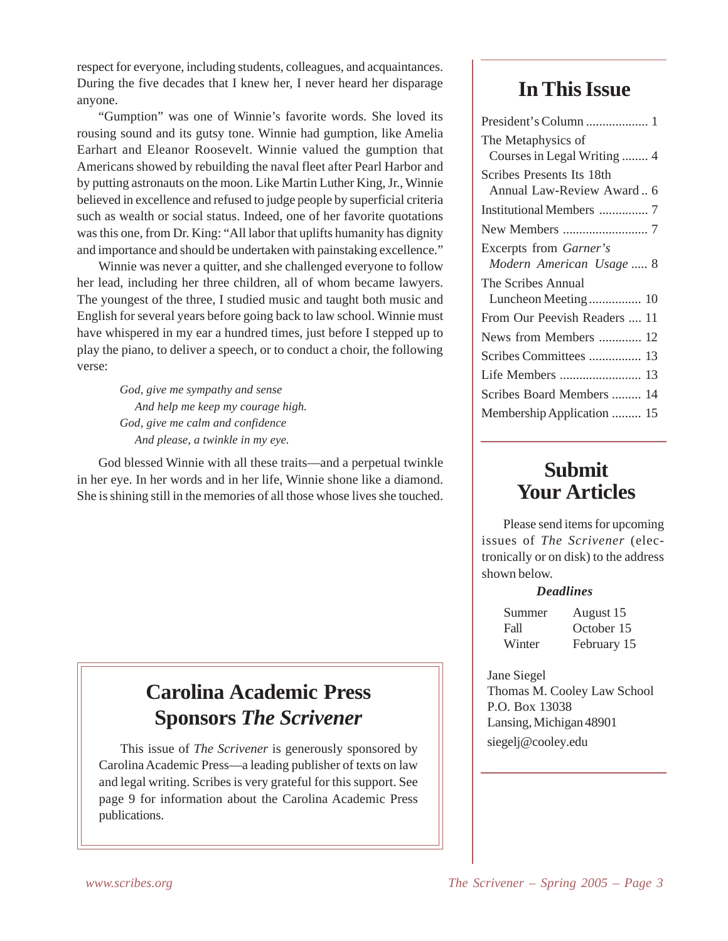respect for everyone, including students, colleagues, and acquaintances. During the five decades that I knew her, I never heard her disparage anyone.

"Gumption" was one of Winnie's favorite words. She loved its rousing sound and its gutsy tone. Winnie had gumption, like Amelia Earhart and Eleanor Roosevelt. Winnie valued the gumption that Americans showed by rebuilding the naval fleet after Pearl Harbor and by putting astronauts on the moon. Like Martin Luther King, Jr., Winnie believed in excellence and refused to judge people by superficial criteria such as wealth or social status. Indeed, one of her favorite quotations was this one, from Dr. King: "All labor that uplifts humanity has dignity and importance and should be undertaken with painstaking excellence."

Winnie was never a quitter, and she challenged everyone to follow her lead, including her three children, all of whom became lawyers. The youngest of the three, I studied music and taught both music and English for several years before going back to law school. Winnie must have whispered in my ear a hundred times, just before I stepped up to play the piano, to deliver a speech, or to conduct a choir, the following verse:

> *God, give me sympathy and sense And help me keep my courage high. God, give me calm and confidence And please, a twinkle in my eye.*

God blessed Winnie with all these traits—and a perpetual twinkle in her eye. In her words and in her life, Winnie shone like a diamond. She is shining still in the memories of all those whose lives she touched.

### **Carolina Academic Press Sponsors** *The Scrivener*

This issue of *The Scrivener* is generously sponsored by Carolina Academic Press—a leading publisher of texts on law and legal writing. Scribes is very grateful for this support. See page 9 for information about the Carolina Academic Press publications.

### **In This Issue**

| The Metaphysics of                                 |
|----------------------------------------------------|
| Courses in Legal Writing 4                         |
| Scribes Presents Its 18th                          |
| Annual Law-Review Award 6                          |
|                                                    |
|                                                    |
| Excerpts from Garner's<br>Modern American Usage  8 |
| The Scribes Annual                                 |
| Luncheon Meeting 10                                |
| From Our Peevish Readers  11                       |
| News from Members  12                              |
| Scribes Committees  13                             |
|                                                    |
| Scribes Board Members  14                          |
| Membership Application  15                         |
|                                                    |

### **Submit Your Articles**

Please send items for upcoming issues of *The Scrivener* (electronically or on disk) to the address shown below.

#### *Deadlines*

| Summer | August 15   |
|--------|-------------|
| Fall   | October 15  |
| Winter | February 15 |

Jane Siegel Thomas M. Cooley Law School P.O. Box 13038 Lansing, Michigan 48901 siegelj@cooley.edu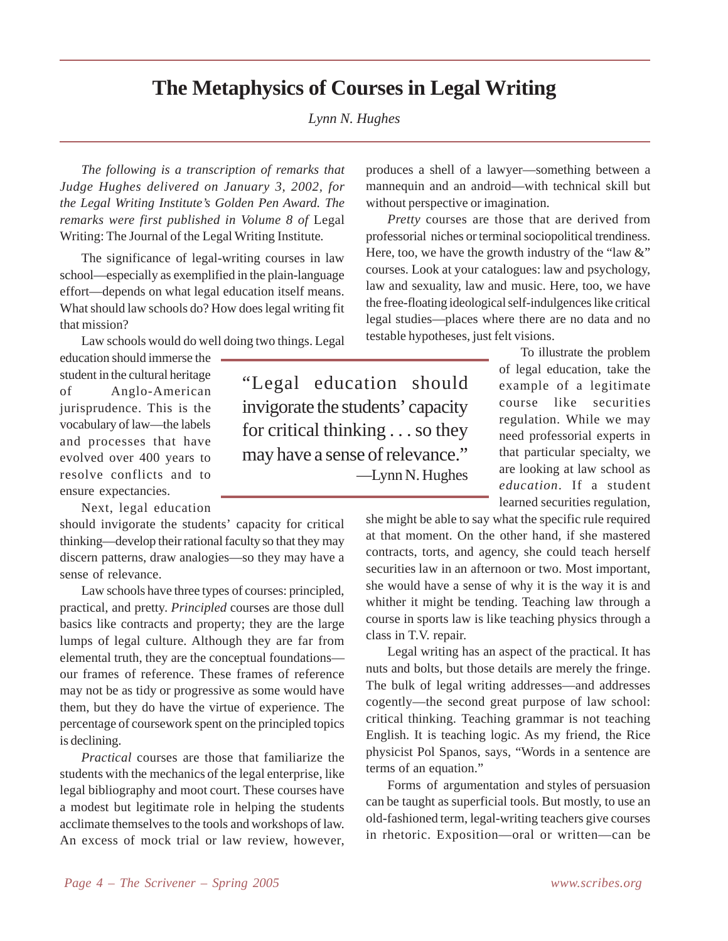### **The Metaphysics of Courses in Legal Writing**

*Lynn N. Hughes*

*The following is a transcription of remarks that Judge Hughes delivered on January 3, 2002, for the Legal Writing Institute's Golden Pen Award. The remarks were first published in Volume 8 of* Legal Writing: The Journal of the Legal Writing Institute*.*

The significance of legal-writing courses in law school—especially as exemplified in the plain-language effort—depends on what legal education itself means. What should law schools do? How does legal writing fit that mission?

Law schools would do well doing two things. Legal

education should immerse the student in the cultural heritage of Anglo-American jurisprudence. This is the vocabulary of law—the labels and processes that have evolved over 400 years to resolve conflicts and to ensure expectancies.

Next, legal education

should invigorate the students' capacity for critical thinking—develop their rational faculty so that they may discern patterns, draw analogies—so they may have a sense of relevance.

Law schools have three types of courses: principled, practical, and pretty. *Principled* courses are those dull basics like contracts and property; they are the large lumps of legal culture. Although they are far from elemental truth, they are the conceptual foundations our frames of reference. These frames of reference may not be as tidy or progressive as some would have them, but they do have the virtue of experience. The percentage of coursework spent on the principled topics is declining.

*Practical* courses are those that familiarize the students with the mechanics of the legal enterprise, like legal bibliography and moot court. These courses have a modest but legitimate role in helping the students acclimate themselves to the tools and workshops of law. An excess of mock trial or law review, however,

"Legal education should invigorate the students' capacity for critical thinking . . . so they may have a sense of relevance."

—Lynn N. Hughes

produces a shell of a lawyer—something between a mannequin and an android—with technical skill but without perspective or imagination.

*Pretty* courses are those that are derived from professorial niches or terminal sociopolitical trendiness. Here, too, we have the growth industry of the "law  $&x$ " courses. Look at your catalogues: law and psychology, law and sexuality, law and music. Here, too, we have the free-floating ideological self-indulgences like critical legal studies—places where there are no data and no testable hypotheses, just felt visions.

To illustrate the problem of legal education, take the example of a legitimate course like securities regulation. While we may need professorial experts in that particular specialty, we are looking at law school as *education*. If a student learned securities regulation,

she might be able to say what the specific rule required at that moment. On the other hand, if she mastered contracts, torts, and agency, she could teach herself securities law in an afternoon or two. Most important, she would have a sense of why it is the way it is and whither it might be tending. Teaching law through a course in sports law is like teaching physics through a class in T.V. repair.

Legal writing has an aspect of the practical. It has nuts and bolts, but those details are merely the fringe. The bulk of legal writing addresses—and addresses cogently—the second great purpose of law school: critical thinking. Teaching grammar is not teaching English. It is teaching logic. As my friend, the Rice physicist Pol Spanos, says, "Words in a sentence are terms of an equation."

Forms of argumentation and styles of persuasion can be taught as superficial tools. But mostly, to use an old-fashioned term, legal-writing teachers give courses in rhetoric. Exposition—oral or written—can be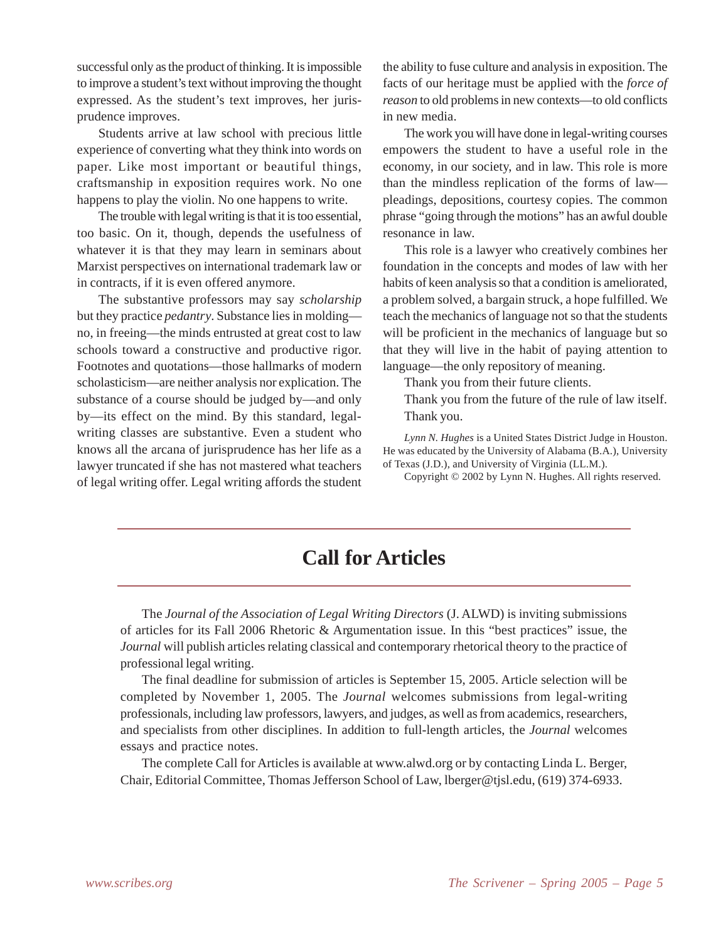successful only as the product of thinking. It is impossible to improve a student's text without improving the thought expressed. As the student's text improves, her jurisprudence improves.

Students arrive at law school with precious little experience of converting what they think into words on paper. Like most important or beautiful things, craftsmanship in exposition requires work. No one happens to play the violin. No one happens to write.

The trouble with legal writing is that it is too essential, too basic. On it, though, depends the usefulness of whatever it is that they may learn in seminars about Marxist perspectives on international trademark law or in contracts, if it is even offered anymore.

The substantive professors may say *scholarship* but they practice *pedantry*. Substance lies in molding no, in freeing—the minds entrusted at great cost to law schools toward a constructive and productive rigor. Footnotes and quotations—those hallmarks of modern scholasticism—are neither analysis nor explication. The substance of a course should be judged by—and only by—its effect on the mind. By this standard, legalwriting classes are substantive. Even a student who knows all the arcana of jurisprudence has her life as a lawyer truncated if she has not mastered what teachers of legal writing offer. Legal writing affords the student

the ability to fuse culture and analysis in exposition. The facts of our heritage must be applied with the *force of reason* to old problems in new contexts—to old conflicts in new media.

The work you will have done in legal-writing courses empowers the student to have a useful role in the economy, in our society, and in law. This role is more than the mindless replication of the forms of law pleadings, depositions, courtesy copies. The common phrase "going through the motions" has an awful double resonance in law.

This role is a lawyer who creatively combines her foundation in the concepts and modes of law with her habits of keen analysis so that a condition is ameliorated, a problem solved, a bargain struck, a hope fulfilled. We teach the mechanics of language not so that the students will be proficient in the mechanics of language but so that they will live in the habit of paying attention to language—the only repository of meaning.

Thank you from their future clients.

Thank you from the future of the rule of law itself. Thank you.

*Lynn N. Hughes* is a United States District Judge in Houston. He was educated by the University of Alabama (B.A.), University of Texas (J.D.), and University of Virginia (LL.M.).

Copyright © 2002 by Lynn N. Hughes. All rights reserved.

### **Call for Articles**

The *Journal of the Association of Legal Writing Directors* (J. ALWD) is inviting submissions of articles for its Fall 2006 Rhetoric & Argumentation issue. In this "best practices" issue, the *Journal* will publish articles relating classical and contemporary rhetorical theory to the practice of professional legal writing.

The final deadline for submission of articles is September 15, 2005. Article selection will be completed by November 1, 2005. The *Journal* welcomes submissions from legal-writing professionals, including law professors, lawyers, and judges, as well as from academics, researchers, and specialists from other disciplines. In addition to full-length articles, the *Journal* welcomes essays and practice notes.

The complete Call for Articles is available at www.alwd.org or by contacting Linda L. Berger, Chair, Editorial Committee, Thomas Jefferson School of Law, lberger@tjsl.edu, (619) 374-6933.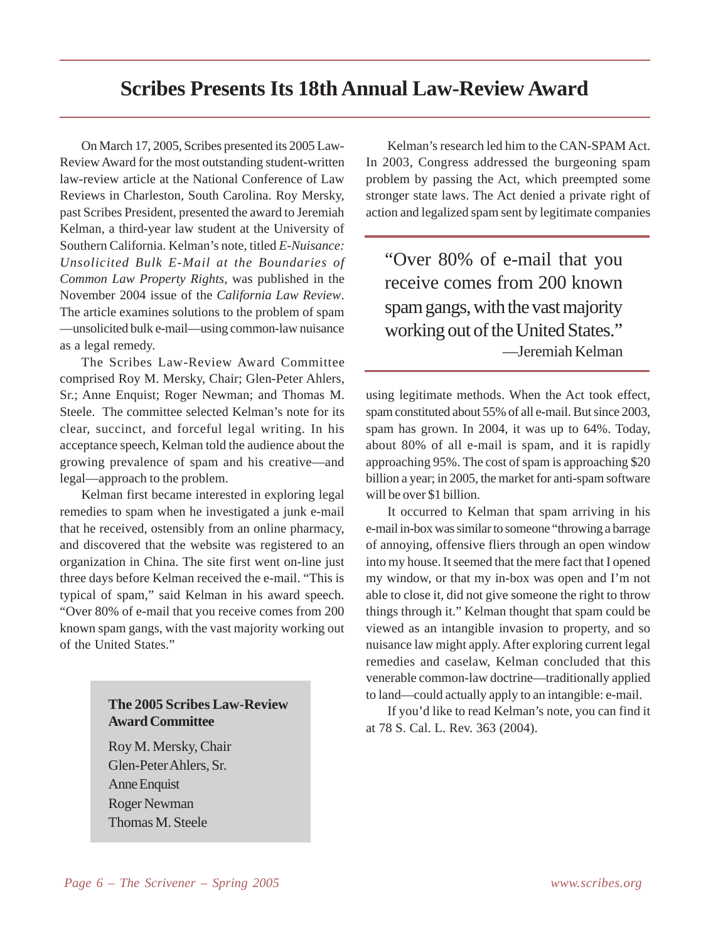### **Scribes Presents Its 18th Annual Law-Review Award**

On March 17, 2005, Scribes presented its 2005 Law-Review Award for the most outstanding student-written law-review article at the National Conference of Law Reviews in Charleston, South Carolina. Roy Mersky, past Scribes President, presented the award to Jeremiah Kelman, a third-year law student at the University of Southern California. Kelman's note, titled *E-Nuisance: Unsolicited Bulk E-Mail at the Boundaries of Common Law Property Rights*, was published in the November 2004 issue of the *California Law Review*. The article examines solutions to the problem of spam —unsolicited bulk e-mail—using common-law nuisance as a legal remedy.

The Scribes Law-Review Award Committee comprised Roy M. Mersky, Chair; Glen-Peter Ahlers, Sr.; Anne Enquist; Roger Newman; and Thomas M. Steele. The committee selected Kelman's note for its clear, succinct, and forceful legal writing. In his acceptance speech, Kelman told the audience about the growing prevalence of spam and his creative—and legal—approach to the problem.

Kelman first became interested in exploring legal remedies to spam when he investigated a junk e-mail that he received, ostensibly from an online pharmacy, and discovered that the website was registered to an organization in China. The site first went on-line just three days before Kelman received the e-mail. "This is typical of spam," said Kelman in his award speech. "Over 80% of e-mail that you receive comes from 200 known spam gangs, with the vast majority working out of the United States."

#### **The 2005 Scribes Law-Review Award Committee**

Roy M. Mersky, Chair Glen-Peter Ahlers, Sr. Anne Enquist Roger Newman Thomas M. Steele

Kelman's research led him to the CAN-SPAM Act. In 2003, Congress addressed the burgeoning spam problem by passing the Act, which preempted some stronger state laws. The Act denied a private right of action and legalized spam sent by legitimate companies

"Over 80% of e-mail that you receive comes from 200 known spam gangs, with the vast majority working out of the United States." —Jeremiah Kelman

using legitimate methods. When the Act took effect, spam constituted about 55% of all e-mail. But since 2003, spam has grown. In 2004, it was up to 64%. Today, about 80% of all e-mail is spam, and it is rapidly approaching 95%. The cost of spam is approaching \$20 billion a year; in 2005, the market for anti-spam software will be over \$1 billion.

It occurred to Kelman that spam arriving in his e-mail in-box was similar to someone "throwing a barrage of annoying, offensive fliers through an open window into my house. It seemed that the mere fact that I opened my window, or that my in-box was open and I'm not able to close it, did not give someone the right to throw things through it." Kelman thought that spam could be viewed as an intangible invasion to property, and so nuisance law might apply. After exploring current legal remedies and caselaw, Kelman concluded that this venerable common-law doctrine—traditionally applied to land—could actually apply to an intangible: e-mail.

If you'd like to read Kelman's note, you can find it at 78 S. Cal. L. Rev. 363 (2004).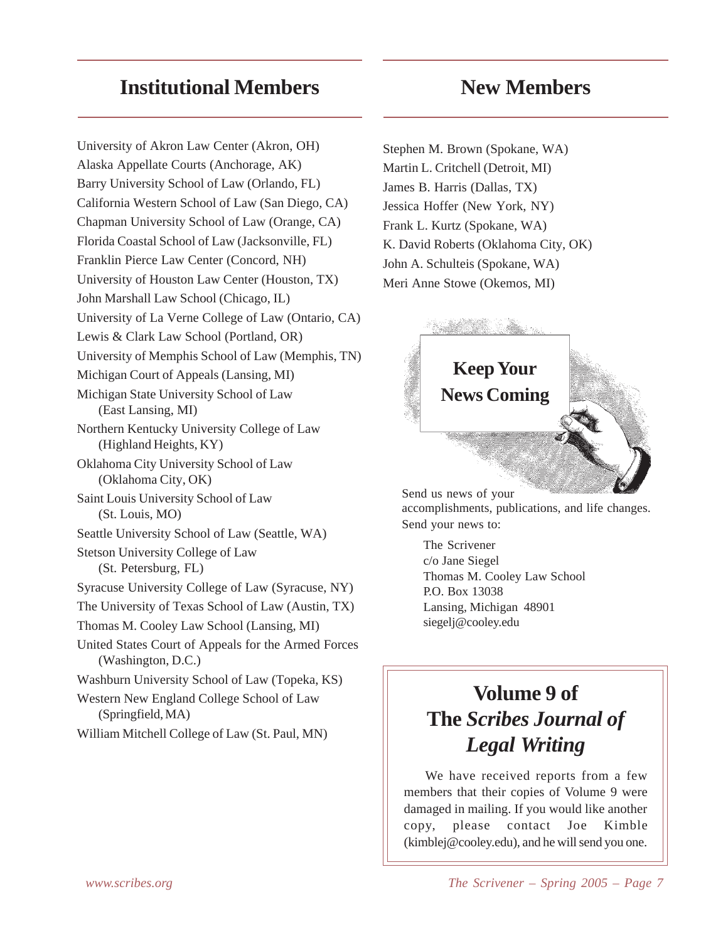### **Institutional Members**

University of Akron Law Center (Akron, OH) Alaska Appellate Courts (Anchorage, AK) Barry University School of Law (Orlando, FL) California Western School of Law (San Diego, CA) Chapman University School of Law (Orange, CA) Florida Coastal School of Law (Jacksonville, FL) Franklin Pierce Law Center (Concord, NH) University of Houston Law Center (Houston, TX) John Marshall Law School (Chicago, IL) University of La Verne College of Law (Ontario, CA) Lewis & Clark Law School (Portland, OR) University of Memphis School of Law (Memphis, TN) Michigan Court of Appeals (Lansing, MI) Michigan State University School of Law (East Lansing, MI) Northern Kentucky University College of Law (Highland Heights, KY) Oklahoma City University School of Law (Oklahoma City, OK) Saint Louis University School of Law (St. Louis, MO) Seattle University School of Law (Seattle, WA) Stetson University College of Law (St. Petersburg, FL) Syracuse University College of Law (Syracuse, NY) The University of Texas School of Law (Austin, TX) Thomas M. Cooley Law School (Lansing, MI) United States Court of Appeals for the Armed Forces (Washington, D.C.) Washburn University School of Law (Topeka, KS) Western New England College School of Law (Springfield, MA) William Mitchell College of Law (St. Paul, MN)

### **New Members**

Stephen M. Brown (Spokane, WA) Martin L. Critchell (Detroit, MI) James B. Harris (Dallas, TX) Jessica Hoffer (New York, NY) Frank L. Kurtz (Spokane, WA) K. David Roberts (Oklahoma City, OK) John A. Schulteis (Spokane, WA) Meri Anne Stowe (Okemos, MI)



accomplishments, publications, and life changes. Send your news to:

The Scrivener c/o Jane Siegel Thomas M. Cooley Law School P.O. Box 13038 Lansing, Michigan 48901 siegelj@cooley.edu

## **Volume 9 of The** *Scribes Journal of Legal Writing*

We have received reports from a few members that their copies of Volume 9 were damaged in mailing. If you would like another copy, please contact Joe Kimble (kimblej@cooley.edu), and he will send you one.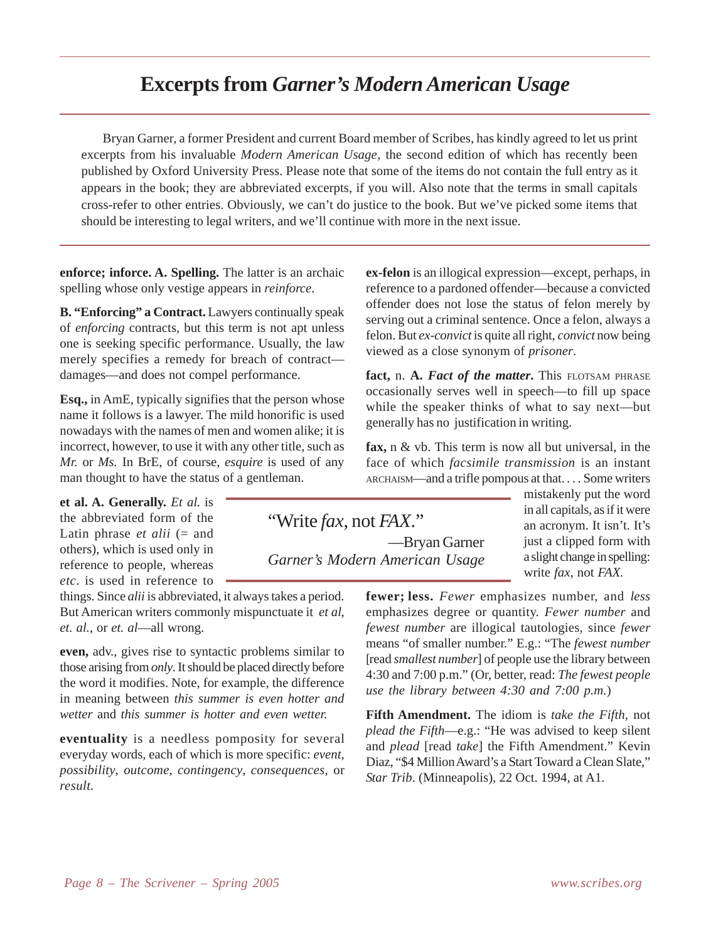### **Excerpts from** *Garner's Modern American Usage*

Bryan Garner, a former President and current Board member of Scribes, has kindly agreed to let us print excerpts from his invaluable *Modern American Usage*, the second edition of which has recently been published by Oxford University Press. Please note that some of the items do not contain the full entry as it appears in the book; they are abbreviated excerpts, if you will. Also note that the terms in small capitals cross-refer to other entries. Obviously, we can't do justice to the book. But we've picked some items that should be interesting to legal writers, and we'll continue with more in the next issue.

**enforce; inforce. A. Spelling.** The latter is an archaic spelling whose only vestige appears in *reinforce*.

**B. "Enforcing" a Contract.** Lawyers continually speak of *enforcing* contracts, but this term is not apt unless one is seeking specific performance. Usually, the law merely specifies a remedy for breach of contract damages—and does not compel performance.

**Esq.,** in AmE, typically signifies that the person whose name it follows is a lawyer. The mild honorific is used nowadays with the names of men and women alike; it is incorrect, however, to use it with any other title, such as *Mr.* or *Ms.* In BrE, of course, *esquire* is used of any man thought to have the status of a gentleman.

**et al. A. Generally.** *Et al.* is the abbreviated form of the Latin phrase *et alii* (= and others), which is used only in reference to people, whereas *etc*. is used in reference to

things. Since *alii* is abbreviated, it always takes a period. But American writers commonly mispunctuate it *et al*, *et. al.*, or *et. al*—all wrong.

**even,** adv., gives rise to syntactic problems similar to those arising from *only*. It should be placed directly before the word it modifies. Note, for example, the difference in meaning between *this summer is even hotter and wetter* and *this summer is hotter and even wetter.*

**eventuality** is a needless pomposity for several everyday words, each of which is more specific: *event*, *possibility*, *outcome*, *contingency*, *consequences*, or *result*.

**ex-felon** is an illogical expression—except, perhaps, in reference to a pardoned offender—because a convicted offender does not lose the status of felon merely by serving out a criminal sentence. Once a felon, always a felon. But *ex-convict* is quite all right, *convict* now being viewed as a close synonym of *prisoner*.

**fact,** n. **A.** *Fact of the matter***.** This FLOTSAM PHRASE occasionally serves well in speech—to fill up space while the speaker thinks of what to say next—but generally has no justification in writing.

**fax,** n & vb. This term is now all but universal, in the face of which *facsimile transmission* is an instant ARCHAISM—and a trifle pompous at that. *. . .* Some writers

"Write *fax*, not *FAX*." —Bryan Garner *Garner's Modern American Usage* mistakenly put the word in all capitals, as if it were an acronym. It isn't. It's just a clipped form with a slight change in spelling: write *fax*, not *FAX.*

**fewer; less.** *Fewer* emphasizes number, and *less* emphasizes degree or quantity. *Fewer number* and *fewest number* are illogical tautologies, since *fewer* means "of smaller number." E.g.: "The *fewest number* [read *smallest number*] of people use the library between 4:30 and 7:00 p.m." (Or, better, read: *The fewest people use the library between 4:30 and 7:00 p.m.*)

**Fifth Amendment.** The idiom is *take the Fifth*, not *plead the Fifth*—e.g.: "He was advised to keep silent and *plead* [read *take*] the Fifth Amendment." Kevin Diaz, "\$4 Million Award's a Start Toward a Clean Slate," *Star Trib*. (Minneapolis), 22 Oct. 1994, at A1.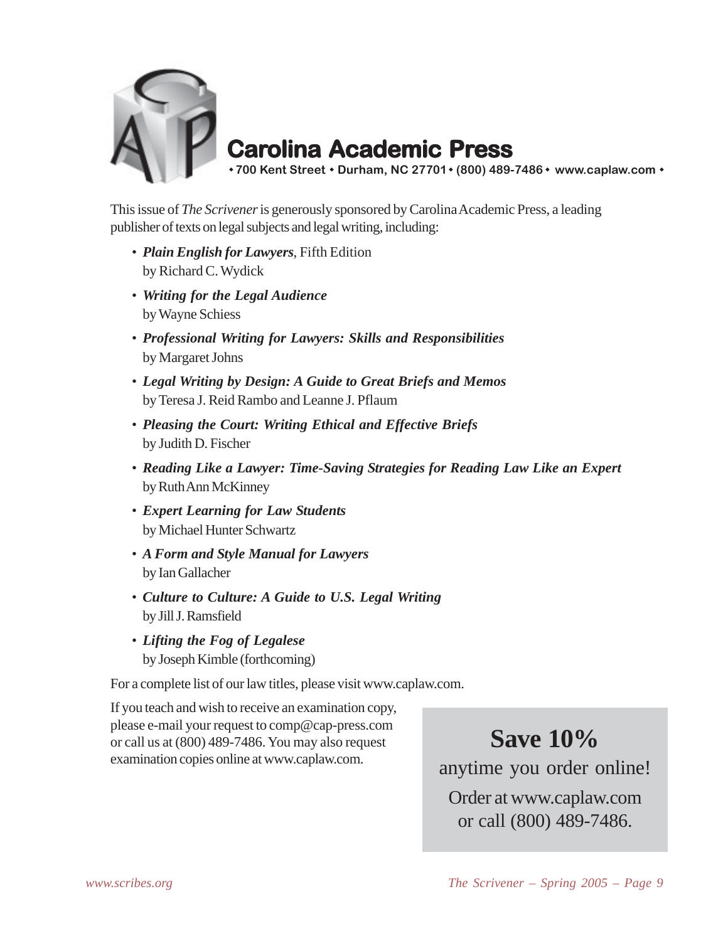

This issue of *The Scrivener* is generously sponsored by Carolina Academic Press, a leading publisher of texts on legal subjects and legal writing, including:

- *Plain English for Lawyers*, Fifth Edition by Richard C. Wydick
- *Writing for the Legal Audience* by Wayne Schiess
- *Professional Writing for Lawyers: Skills and Responsibilities* by Margaret Johns
- *Legal Writing by Design: A Guide to Great Briefs and Memos* by Teresa J. Reid Rambo and Leanne J. Pflaum
- *Pleasing the Court: Writing Ethical and Effective Briefs* by Judith D. Fischer
- *Reading Like a Lawyer: Time-Saving Strategies for Reading Law Like an Expert* by Ruth Ann McKinney
- *Expert Learning for Law Students* by Michael Hunter Schwartz
- *A Form and Style Manual for Lawyers* by Ian Gallacher
- *Culture to Culture: A Guide to U.S. Legal Writing* by Jill J. Ramsfield
- *Lifting the Fog of Legalese* by Joseph Kimble (forthcoming)

For a complete list of our law titles, please visit www.caplaw.com.

If you teach and wish to receive an examination copy, please e-mail your request to comp@cap-press.com or call us at (800) 489-7486. You may also request examination copies online at www.caplaw.com.

**Save 10%** anytime you order online! Order at www.caplaw.com or call (800) 489-7486.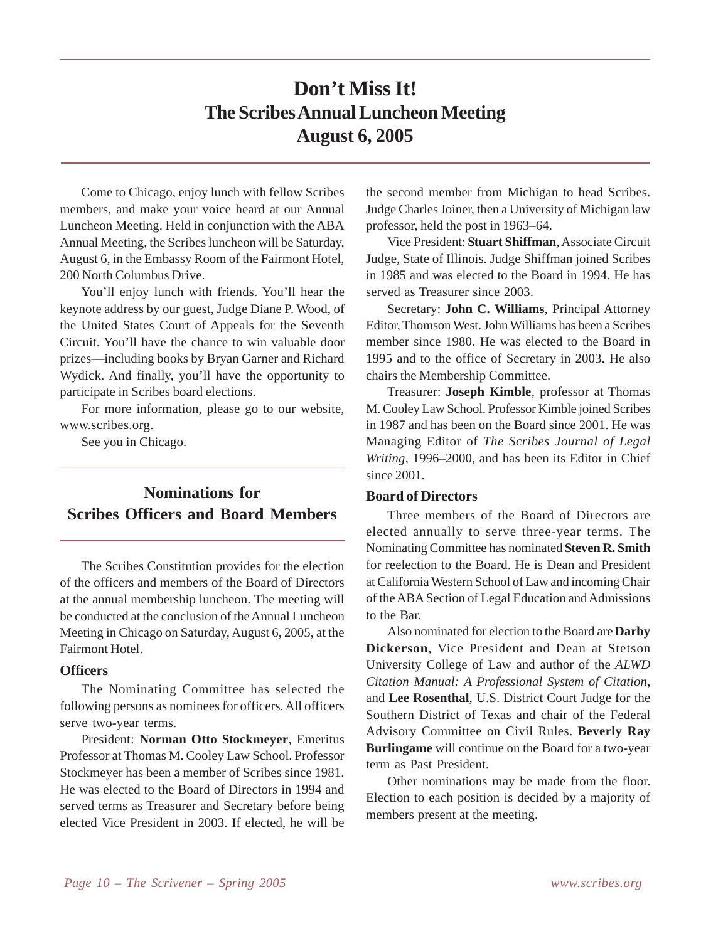### **Don't Miss It! The Scribes Annual Luncheon Meeting August 6, 2005**

Come to Chicago, enjoy lunch with fellow Scribes members, and make your voice heard at our Annual Luncheon Meeting. Held in conjunction with the ABA Annual Meeting, the Scribes luncheon will be Saturday, August 6, in the Embassy Room of the Fairmont Hotel, 200 North Columbus Drive.

You'll enjoy lunch with friends. You'll hear the keynote address by our guest, Judge Diane P. Wood, of the United States Court of Appeals for the Seventh Circuit. You'll have the chance to win valuable door prizes—including books by Bryan Garner and Richard Wydick. And finally, you'll have the opportunity to participate in Scribes board elections.

For more information, please go to our website, www.scribes.org.

See you in Chicago.

### **Nominations for Scribes Officers and Board Members**

The Scribes Constitution provides for the election of the officers and members of the Board of Directors at the annual membership luncheon. The meeting will be conducted at the conclusion of the Annual Luncheon Meeting in Chicago on Saturday, August 6, 2005, at the Fairmont Hotel.

#### **Officers**

The Nominating Committee has selected the following persons as nominees for officers. All officers serve two-year terms.

President: **Norman Otto Stockmeyer**, Emeritus Professor at Thomas M. Cooley Law School. Professor Stockmeyer has been a member of Scribes since 1981. He was elected to the Board of Directors in 1994 and served terms as Treasurer and Secretary before being elected Vice President in 2003. If elected, he will be the second member from Michigan to head Scribes. Judge Charles Joiner, then a University of Michigan law professor, held the post in 1963–64.

Vice President: **Stuart Shiffman**, Associate Circuit Judge, State of Illinois. Judge Shiffman joined Scribes in 1985 and was elected to the Board in 1994. He has served as Treasurer since 2003.

Secretary: **John C. Williams**, Principal Attorney Editor, Thomson West. John Williams has been a Scribes member since 1980. He was elected to the Board in 1995 and to the office of Secretary in 2003. He also chairs the Membership Committee.

Treasurer: **Joseph Kimble**, professor at Thomas M. Cooley Law School. Professor Kimble joined Scribes in 1987 and has been on the Board since 2001. He was Managing Editor of *The Scribes Journal of Legal Writing*, 1996–2000, and has been its Editor in Chief since 2001.

#### **Board of Directors**

Three members of the Board of Directors are elected annually to serve three-year terms. The Nominating Committee has nominated **Steven R. Smith** for reelection to the Board. He is Dean and President at California Western School of Law and incoming Chair of the ABA Section of Legal Education and Admissions to the Bar.

Also nominated for election to the Board are **Darby Dickerson**, Vice President and Dean at Stetson University College of Law and author of the *ALWD Citation Manual: A Professional System of Citation*, and **Lee Rosenthal**, U.S. District Court Judge for the Southern District of Texas and chair of the Federal Advisory Committee on Civil Rules. **Beverly Ray Burlingame** will continue on the Board for a two-year term as Past President.

Other nominations may be made from the floor. Election to each position is decided by a majority of members present at the meeting.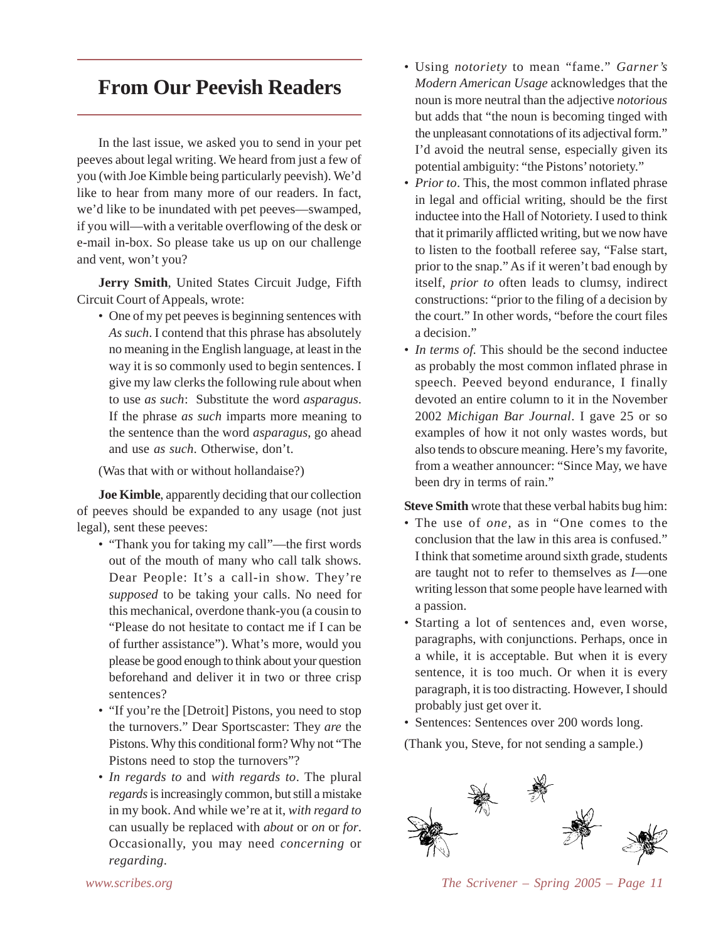### **From Our Peevish Readers**

In the last issue, we asked you to send in your pet peeves about legal writing. We heard from just a few of you (with Joe Kimble being particularly peevish). We'd like to hear from many more of our readers. In fact, we'd like to be inundated with pet peeves—swamped, if you will—with a veritable overflowing of the desk or e-mail in-box. So please take us up on our challenge and vent, won't you?

**Jerry Smith**, United States Circuit Judge, Fifth Circuit Court of Appeals, wrote:

• One of my pet peeves is beginning sentences with *As such*. I contend that this phrase has absolutely no meaning in the English language, at least in the way it is so commonly used to begin sentences. I give my law clerks the following rule about when to use *as such*: Substitute the word *asparagus*. If the phrase *as such* imparts more meaning to the sentence than the word *asparagus*, go ahead and use *as such*. Otherwise, don't.

(Was that with or without hollandaise?)

**Joe Kimble**, apparently deciding that our collection of peeves should be expanded to any usage (not just legal), sent these peeves:

- "Thank you for taking my call"—the first words out of the mouth of many who call talk shows. Dear People: It's a call-in show. They're *supposed* to be taking your calls. No need for this mechanical, overdone thank-you (a cousin to "Please do not hesitate to contact me if I can be of further assistance"). What's more, would you please be good enough to think about your question beforehand and deliver it in two or three crisp sentences?
- "If you're the [Detroit] Pistons, you need to stop the turnovers." Dear Sportscaster: They *are* the Pistons. Why this conditional form? Why not "The Pistons need to stop the turnovers"?
- *In regards to* and *with regards to*. The plural *regards* is increasingly common, but still a mistake in my book. And while we're at it, *with regard to* can usually be replaced with *about* or *on* or *for*. Occasionally, you may need *concerning* or *regarding*.
- Using *notoriety* to mean "fame." *Garner's Modern American Usage* acknowledges that the noun is more neutral than the adjective *notorious* but adds that "the noun is becoming tinged with the unpleasant connotations of its adjectival form." I'd avoid the neutral sense, especially given its potential ambiguity: "the Pistons' notoriety."
- *Prior to*. This, the most common inflated phrase in legal and official writing, should be the first inductee into the Hall of Notoriety. I used to think that it primarily afflicted writing, but we now have to listen to the football referee say, "False start, prior to the snap." As if it weren't bad enough by itself, *prior to* often leads to clumsy, indirect constructions: "prior to the filing of a decision by the court." In other words, "before the court files a decision."
- *In terms of.* This should be the second inductee as probably the most common inflated phrase in speech. Peeved beyond endurance, I finally devoted an entire column to it in the November 2002 *Michigan Bar Journal*. I gave 25 or so examples of how it not only wastes words, but also tends to obscure meaning. Here's my favorite, from a weather announcer: "Since May, we have been dry in terms of rain."

**Steve Smith** wrote that these verbal habits bug him:

- The use of *one*, as in "One comes to the conclusion that the law in this area is confused." I think that sometime around sixth grade, students are taught not to refer to themselves as *I*—one writing lesson that some people have learned with a passion.
- Starting a lot of sentences and, even worse, paragraphs, with conjunctions. Perhaps, once in a while, it is acceptable. But when it is every sentence, it is too much. Or when it is every paragraph, it is too distracting. However, I should probably just get over it.
- Sentences: Sentences over 200 words long.

(Thank you, Steve, for not sending a sample.)



*www.scribes.org The Scrivener – Spring 2005 – Page 11*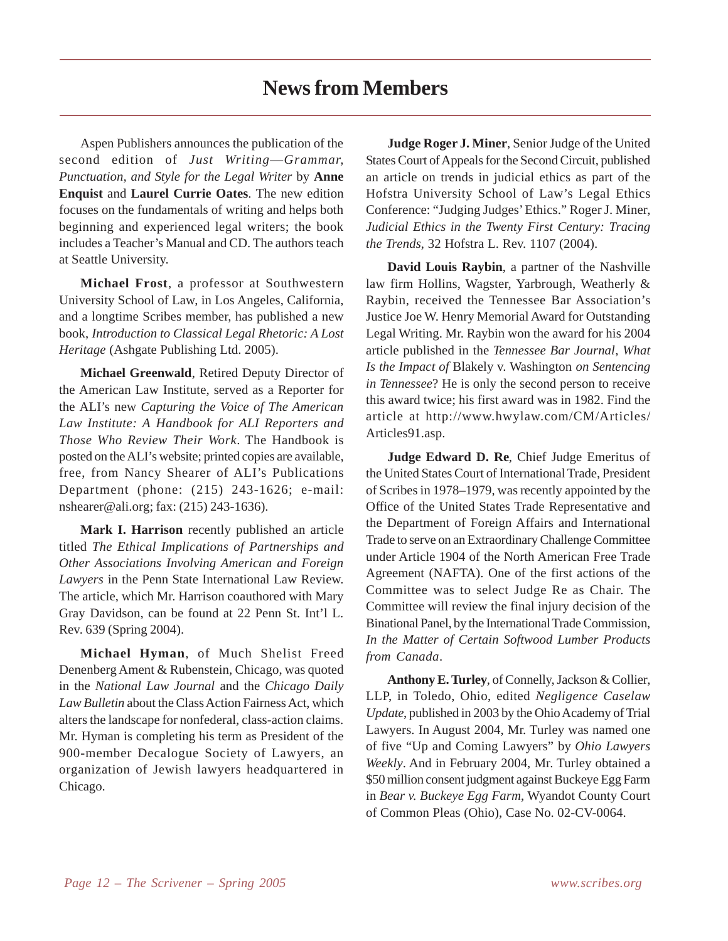### **News from Members**

Aspen Publishers announces the publication of the second edition of *Just Writing*—*Grammar, Punctuation, and Style for the Legal Writer* by **Anne Enquist** and **Laurel Currie Oates**. The new edition focuses on the fundamentals of writing and helps both beginning and experienced legal writers; the book includes a Teacher's Manual and CD. The authors teach at Seattle University.

**Michael Frost**, a professor at Southwestern University School of Law, in Los Angeles, California, and a longtime Scribes member, has published a new book, *Introduction to Classical Legal Rhetoric: A Lost Heritage* (Ashgate Publishing Ltd. 2005).

**Michael Greenwald**, Retired Deputy Director of the American Law Institute, served as a Reporter for the ALI's new *Capturing the Voice of The American Law Institute: A Handbook for ALI Reporters and Those Who Review Their Work*. The Handbook is posted on the ALI's website; printed copies are available, free, from Nancy Shearer of ALI's Publications Department (phone: (215) 243-1626; e-mail: nshearer@ali.org; fax: (215) 243-1636).

**Mark I. Harrison** recently published an article titled *The Ethical Implications of Partnerships and Other Associations Involving American and Foreign Lawyers* in the Penn State International Law Review. The article, which Mr. Harrison coauthored with Mary Gray Davidson, can be found at 22 Penn St. Int'l L. Rev. 639 (Spring 2004).

**Michael Hyman**, of Much Shelist Freed Denenberg Ament & Rubenstein, Chicago, was quoted in the *National Law Journal* and the *Chicago Daily Law Bulletin* about the Class Action Fairness Act, which alters the landscape for nonfederal, class-action claims. Mr. Hyman is completing his term as President of the 900-member Decalogue Society of Lawyers, an organization of Jewish lawyers headquartered in Chicago.

**Judge Roger J. Miner**, Senior Judge of the United States Court of Appeals for the Second Circuit, published an article on trends in judicial ethics as part of the Hofstra University School of Law's Legal Ethics Conference: "Judging Judges' Ethics." Roger J. Miner, *Judicial Ethics in the Twenty First Century: Tracing the Trends*, 32 Hofstra L. Rev. 1107 (2004).

**David Louis Raybin**, a partner of the Nashville law firm Hollins, Wagster, Yarbrough, Weatherly & Raybin, received the Tennessee Bar Association's Justice Joe W. Henry Memorial Award for Outstanding Legal Writing. Mr. Raybin won the award for his 2004 article published in the *Tennessee Bar Journal*, *What Is the Impact of* Blakely v. Washington *on Sentencing in Tennessee*? He is only the second person to receive this award twice; his first award was in 1982. Find the article at http://www.hwylaw.com/CM/Articles/ Articles91.asp.

**Judge Edward D. Re**, Chief Judge Emeritus of the United States Court of International Trade, President of Scribes in 1978–1979, was recently appointed by the Office of the United States Trade Representative and the Department of Foreign Affairs and International Trade to serve on an Extraordinary Challenge Committee under Article 1904 of the North American Free Trade Agreement (NAFTA). One of the first actions of the Committee was to select Judge Re as Chair. The Committee will review the final injury decision of the Binational Panel, by the International Trade Commission, *In the Matter of Certain Softwood Lumber Products from Canada*.

**Anthony E. Turley**, of Connelly, Jackson & Collier, LLP, in Toledo, Ohio, edited *Negligence Caselaw Update*, published in 2003 by the Ohio Academy of Trial Lawyers. In August 2004, Mr. Turley was named one of five "Up and Coming Lawyers" by *Ohio Lawyers Weekly*. And in February 2004, Mr. Turley obtained a \$50 million consent judgment against Buckeye Egg Farm in *Bear v. Buckeye Egg Farm*, Wyandot County Court of Common Pleas (Ohio), Case No. 02-CV-0064.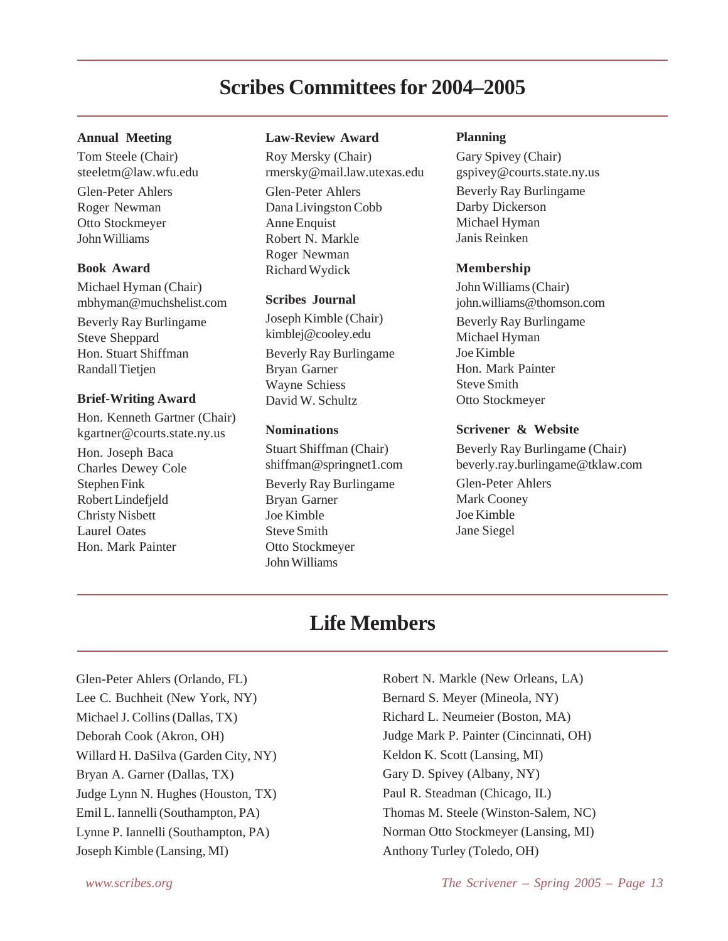### **Scribes Committees for 2004–2005**

#### **Annual Meeting**

Tom Steele (Chair) steeletm@law.wfu.edu

Glen-Peter Ahlers Roger Newman Otto Stockmeyer John Williams

#### **Book Award**

Michael Hyman (Chair) mbhyman@muchshelist.com Beverly Ray Burlingame Steve Sheppard Hon. Stuart Shiffman Randall Tietjen

#### **Brief-Writing Award**

Hon. Kenneth Gartner (Chair) kgartner@courts.state.ny.us

Hon. Joseph Baca Charles Dewey Cole Stephen Fink Robert Lindefjeld Christy Nisbett Laurel Oates Hon. Mark Painter

#### **Law-Review Award**

Roy Mersky (Chair) rmersky@mail.law.utexas.edu

Glen-Peter Ahlers Dana Livingston Cobb Anne Enquist Robert N. Markle Roger Newman Richard Wydick

#### **Scribes Journal**

Joseph Kimble (Chair) kimblej@cooley.edu

Beverly Ray Burlingame Bryan Garner Wayne Schiess David W. Schultz

#### **Nominations**

Stuart Shiffman (Chair) shiffman@springnet1.com

Beverly Ray Burlingame Bryan Garner Joe Kimble Steve Smith Otto Stockmeyer John Williams

#### **Planning**

Gary Spivey (Chair) gspivey@courts.state.ny.us

Beverly Ray Burlingame Darby Dickerson Michael Hyman Janis Reinken

#### **Membership**

John Williams (Chair) john.williams@thomson.com Beverly Ray Burlingame Michael Hyman Joe Kimble Hon. Mark Painter Steve Smith Otto Stockmeyer

#### **Scrivener & Website**

Beverly Ray Burlingame (Chair) beverly.ray.burlingame@tklaw.com

Glen-Peter Ahlers Mark Cooney Joe Kimble Jane Siegel

### **Life Members**

Glen-Peter Ahlers (Orlando, FL) Lee C. Buchheit (New York, NY) Michael J. Collins (Dallas, TX) Deborah Cook (Akron, OH) Willard H. DaSilva (Garden City, NY) Bryan A. Garner (Dallas, TX) Judge Lynn N. Hughes (Houston, TX) Emil L. Iannelli (Southampton, PA) Lynne P. Iannelli (Southampton, PA) Joseph Kimble (Lansing, MI)

Robert N. Markle (New Orleans, LA) Bernard S. Meyer (Mineola, NY) Richard L. Neumeier (Boston, MA) Judge Mark P. Painter (Cincinnati, OH) Keldon K. Scott (Lansing, MI) Gary D. Spivey (Albany, NY) Paul R. Steadman (Chicago, IL) Thomas M. Steele (Winston-Salem, NC) Norman Otto Stockmeyer (Lansing, MI) Anthony Turley (Toledo, OH)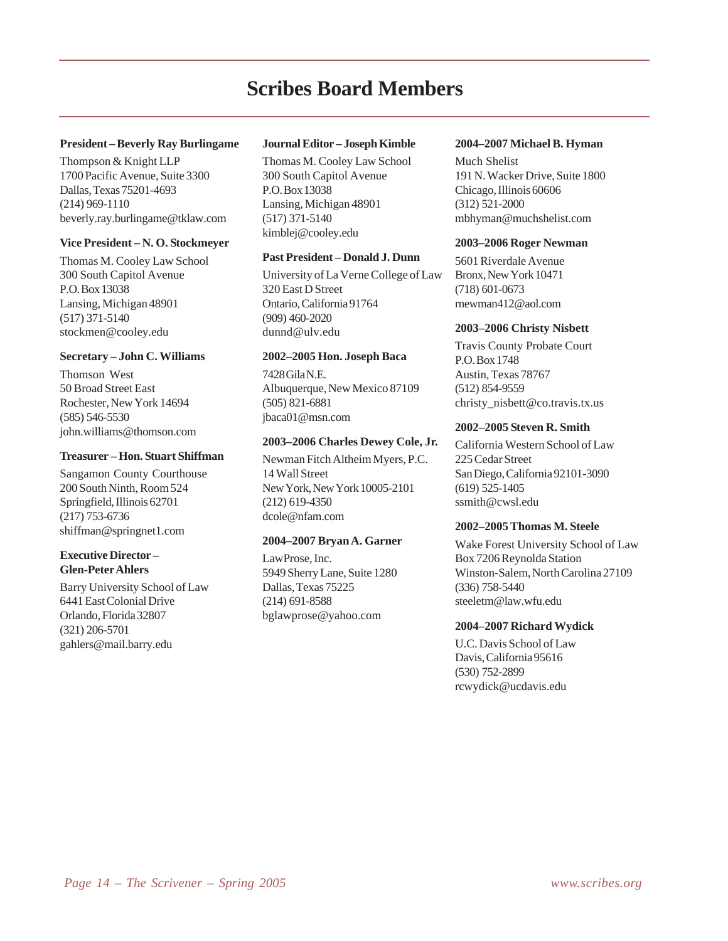### **Scribes Board Members**

#### **President – Beverly Ray Burlingame**

Thompson & Knight LLP 1700 Pacific Avenue, Suite 3300 Dallas, Texas 75201-4693 (214) 969-1110 beverly.ray.burlingame@tklaw.com

#### **Vice President – N. O. Stockmeyer**

Thomas M. Cooley Law School 300 South Capitol Avenue P.O. Box 13038 Lansing, Michigan 48901 (517) 371-5140 stockmen@cooley.edu

#### **Secretary – John C. Williams**

Thomson West 50 Broad Street East Rochester, New York 14694 (585) 546-5530 john.williams@thomson.com

#### **Treasurer – Hon. Stuart Shiffman**

Sangamon County Courthouse 200 South Ninth, Room 524 Springfield, Illinois 62701 (217) 753-6736 shiffman@springnet1.com

#### **Executive Director – Glen-Peter Ahlers**

Barry University School of Law 6441 East Colonial Drive Orlando, Florida 32807 (321) 206-5701 gahlers@mail.barry.edu

#### **Journal Editor – Joseph Kimble**

Thomas M. Cooley Law School 300 South Capitol Avenue P.O. Box 13038 Lansing, Michigan 48901 (517) 371-5140 kimblej@cooley.edu

#### **Past President – Donald J. Dunn**

University of La Verne College of Law 320 East D Street Ontario, California 91764 (909) 460-2020 dunnd@ulv.edu

#### **2002–2005 Hon. Joseph Baca**

7428 Gila N.E. Albuquerque, New Mexico 87109 (505) 821-6881 jbaca01@msn.com

#### **2003–2006 Charles Dewey Cole, Jr.**

Newman Fitch Altheim Myers, P.C. 14 Wall Street New York, New York 10005-2101 (212) 619-4350 dcole@nfam.com

#### **2004–2007 Bryan A. Garner**

LawProse, Inc. 5949 Sherry Lane, Suite 1280 Dallas, Texas 75225 (214) 691-8588 bglawprose@yahoo.com

#### **2004–2007 Michael B. Hyman**

Much Shelist 191 N. Wacker Drive, Suite 1800 Chicago, Illinois 60606 (312) 521-2000 mbhyman@muchshelist.com

#### **2003–2006 Roger Newman**

5601 Riverdale Avenue Bronx, New York 10471 (718) 601-0673 rnewman412@aol.com

#### **2003–2006 Christy Nisbett**

Travis County Probate Court P.O. Box 1748 Austin, Texas 78767 (512) 854-9559 christy\_nisbett@co.travis.tx.us

#### **2002–2005 Steven R. Smith**

California Western School of Law 225 Cedar Street San Diego, California 92101-3090 (619) 525-1405 ssmith@cwsl.edu

#### **2002–2005 Thomas M. Steele**

Wake Forest University School of Law Box 7206 Reynolda Station Winston-Salem, North Carolina 27109 (336) 758-5440 steeletm@law.wfu.edu

#### **2004–2007 Richard Wydick**

U.C. Davis School of Law Davis, California 95616 (530) 752-2899 rcwydick@ucdavis.edu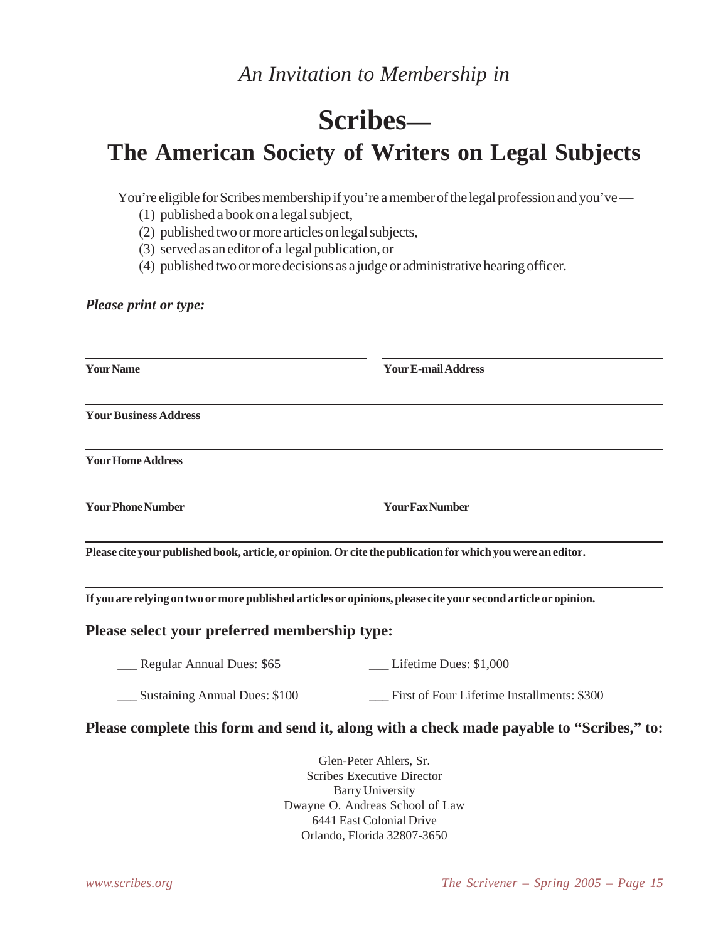# **Scribes—**

# **The American Society of Writers on Legal Subjects**

You're eligible for Scribes membership if you're a member of the legal profession and you've —

- (1) published a book on a legal subject,
- (2) published two or more articles on legal subjects,
- (3) served as an editor of a legal publication, or
- (4) published two or more decisions as a judge or administrative hearing officer.

*Please print or type:*

| <b>Your Name</b>                                                                                            | <b>Your E-mail Address</b>                                                                                                                            |
|-------------------------------------------------------------------------------------------------------------|-------------------------------------------------------------------------------------------------------------------------------------------------------|
| <b>Your Business Address</b>                                                                                |                                                                                                                                                       |
| <b>Your Home Address</b>                                                                                    |                                                                                                                                                       |
| <b>Your Phone Number</b>                                                                                    | <b>Your Fax Number</b>                                                                                                                                |
| Please cite your published book, article, or opinion. Or cite the publication for which you were an editor. |                                                                                                                                                       |
|                                                                                                             | If you are relying on two or more published articles or opinions, please cite your second article or opinion.                                         |
| Please select your preferred membership type:                                                               |                                                                                                                                                       |
| Regular Annual Dues: \$65                                                                                   | Lifetime Dues: \$1,000                                                                                                                                |
| Sustaining Annual Dues: \$100                                                                               | First of Four Lifetime Installments: \$300                                                                                                            |
|                                                                                                             | Please complete this form and send it, along with a check made payable to "Scribes," to:                                                              |
|                                                                                                             | Glen-Peter Ahlers, Sr.<br><b>Scribes Executive Director</b><br><b>Barry University</b><br>Dwayne O. Andreas School of Law<br>6441 East Colonial Drive |

Orlando, Florida 32807-3650